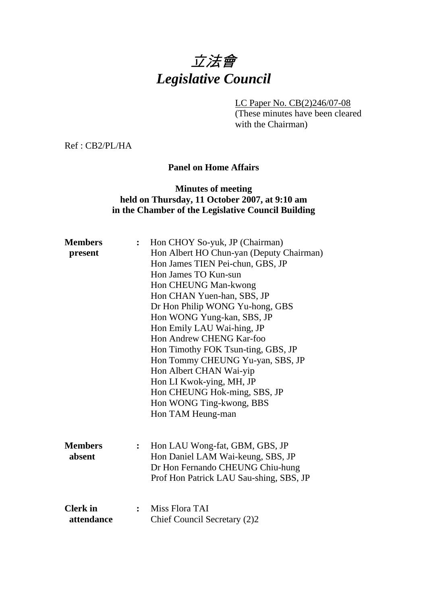# 立法會 *Legislative Council*

LC Paper No. CB(2)246/07-08

(These minutes have been cleared with the Chairman)

Ref : CB2/PL/HA

#### **Panel on Home Affairs**

## **Minutes of meeting held on Thursday, 11 October 2007, at 9:10 am in the Chamber of the Legislative Council Building**

| <b>Members</b>  | $\ddot{\cdot}$ | Hon CHOY So-yuk, JP (Chairman)           |
|-----------------|----------------|------------------------------------------|
| present         |                | Hon Albert HO Chun-yan (Deputy Chairman) |
|                 |                | Hon James TIEN Pei-chun, GBS, JP         |
|                 |                | Hon James TO Kun-sun                     |
|                 |                | Hon CHEUNG Man-kwong                     |
|                 |                | Hon CHAN Yuen-han, SBS, JP               |
|                 |                | Dr Hon Philip WONG Yu-hong, GBS          |
|                 |                | Hon WONG Yung-kan, SBS, JP               |
|                 |                | Hon Emily LAU Wai-hing, JP               |
|                 |                | Hon Andrew CHENG Kar-foo                 |
|                 |                | Hon Timothy FOK Tsun-ting, GBS, JP       |
|                 |                | Hon Tommy CHEUNG Yu-yan, SBS, JP         |
|                 |                | Hon Albert CHAN Wai-yip                  |
|                 |                | Hon LI Kwok-ying, MH, JP                 |
|                 |                | Hon CHEUNG Hok-ming, SBS, JP             |
|                 |                | Hon WONG Ting-kwong, BBS                 |
|                 |                | Hon TAM Heung-man                        |
|                 |                |                                          |
| <b>Members</b>  | $\ddot{\cdot}$ | Hon LAU Wong-fat, GBM, GBS, JP           |
| absent          |                | Hon Daniel LAM Wai-keung, SBS, JP        |
|                 |                | Dr Hon Fernando CHEUNG Chiu-hung         |
|                 |                | Prof Hon Patrick LAU Sau-shing, SBS, JP  |
|                 |                |                                          |
| <b>Clerk</b> in | $\ddot{\cdot}$ | Miss Flora TAI                           |
| attendance      |                | Chief Council Secretary (2)2             |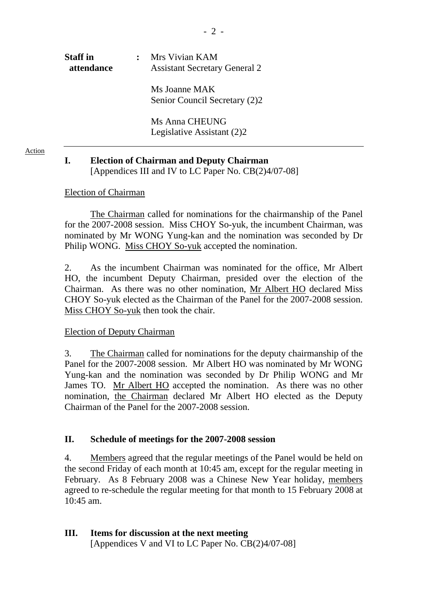| <b>Staff</b> in<br>attendance | Mrs Vivian KAM<br><b>Assistant Secretary General 2</b> |
|-------------------------------|--------------------------------------------------------|
|                               | Ms Joanne MAK<br>Senior Council Secretary (2)2         |
|                               | Ms Anna CHEUNG<br>Legislative Assistant (2)2           |
|                               |                                                        |

# **I. Election of Chairman and Deputy Chairman**  [Appendices III and IV to LC Paper No. CB(2)4/07-08]

#### Election of Chairman

Action

1. The Chairman called for nominations for the chairmanship of the Panel for the 2007-2008 session. Miss CHOY So-yuk, the incumbent Chairman, was nominated by Mr WONG Yung-kan and the nomination was seconded by Dr Philip WONG. Miss CHOY So-yuk accepted the nomination.

2. As the incumbent Chairman was nominated for the office, Mr Albert HO, the incumbent Deputy Chairman, presided over the election of the Chairman. As there was no other nomination, Mr Albert HO declared Miss CHOY So-yuk elected as the Chairman of the Panel for the 2007-2008 session. Miss CHOY So-yuk then took the chair.

## Election of Deputy Chairman

3. The Chairman called for nominations for the deputy chairmanship of the Panel for the 2007-2008 session. Mr Albert HO was nominated by Mr WONG Yung-kan and the nomination was seconded by Dr Philip WONG and Mr James TO. Mr Albert HO accepted the nomination. As there was no other nomination, the Chairman declared Mr Albert HO elected as the Deputy Chairman of the Panel for the 2007-2008 session.

## **II. Schedule of meetings for the 2007-2008 session**

4. Members agreed that the regular meetings of the Panel would be held on the second Friday of each month at 10:45 am, except for the regular meeting in February. As 8 February 2008 was a Chinese New Year holiday, members agreed to re-schedule the regular meeting for that month to 15 February 2008 at 10:45 am.

## **III. Items for discussion at the next meeting**

[Appendices V and VI to LC Paper No. CB(2)4/07-08]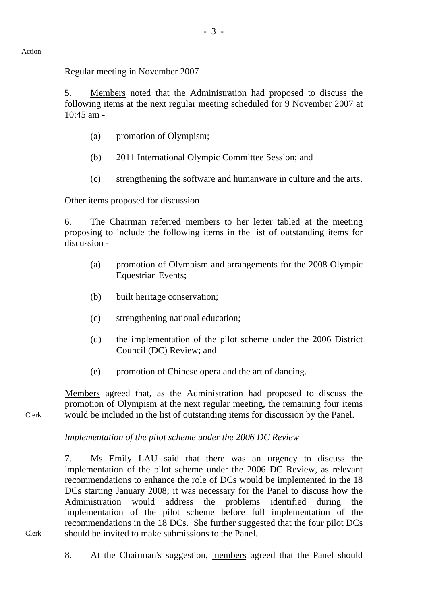## Regular meeting in November 2007

5. Members noted that the Administration had proposed to discuss the following items at the next regular meeting scheduled for 9 November 2007 at 10:45 am -

- (a) promotion of Olympism;
- (b) 2011 International Olympic Committee Session; and
- (c) strengthening the software and humanware in culture and the arts.

# Other items proposed for discussion

6. The Chairman referred members to her letter tabled at the meeting proposing to include the following items in the list of outstanding items for discussion -

- (a) promotion of Olympism and arrangements for the 2008 Olympic Equestrian Events;
- (b) built heritage conservation;
- (c) strengthening national education;
- (d) the implementation of the pilot scheme under the 2006 District Council (DC) Review; and
- (e) promotion of Chinese opera and the art of dancing.

Members agreed that, as the Administration had proposed to discuss the promotion of Olympism at the next regular meeting, the remaining four items would be included in the list of outstanding items for discussion by the Panel.

*Implementation of the pilot scheme under the 2006 DC Review* 

7. Ms Emily LAU said that there was an urgency to discuss the implementation of the pilot scheme under the 2006 DC Review, as relevant recommendations to enhance the role of DCs would be implemented in the 18 DCs starting January 2008; it was necessary for the Panel to discuss how the Administration would address the problems identified during the implementation of the pilot scheme before full implementation of the recommendations in the 18 DCs. She further suggested that the four pilot DCs should be invited to make submissions to the Panel.

Clerk

Clerk

8. At the Chairman's suggestion, members agreed that the Panel should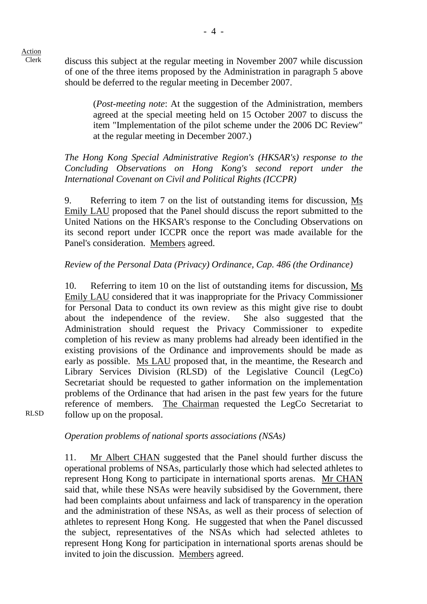Clerk discuss this subject at the regular meeting in November 2007 while discussion of one of the three items proposed by the Administration in paragraph 5 above should be deferred to the regular meeting in December 2007.

> (*Post-meeting note*: At the suggestion of the Administration, members agreed at the special meeting held on 15 October 2007 to discuss the item "Implementation of the pilot scheme under the 2006 DC Review" at the regular meeting in December 2007.)

*The Hong Kong Special Administrative Region's (HKSAR's) response to the Concluding Observations on Hong Kong's second report under the International Covenant on Civil and Political Rights (ICCPR)* 

9. Referring to item 7 on the list of outstanding items for discussion, Ms Emily LAU proposed that the Panel should discuss the report submitted to the United Nations on the HKSAR's response to the Concluding Observations on its second report under ICCPR once the report was made available for the Panel's consideration. Members agreed.

# *Review of the Personal Data (Privacy) Ordinance, Cap. 486 (the Ordinance)*

10. Referring to item 10 on the list of outstanding items for discussion, Ms Emily LAU considered that it was inappropriate for the Privacy Commissioner for Personal Data to conduct its own review as this might give rise to doubt about the independence of the review. She also suggested that the Administration should request the Privacy Commissioner to expedite completion of his review as many problems had already been identified in the existing provisions of the Ordinance and improvements should be made as early as possible. Ms LAU proposed that, in the meantime, the Research and Library Services Division (RLSD) of the Legislative Council (LegCo) Secretariat should be requested to gather information on the implementation problems of the Ordinance that had arisen in the past few years for the future reference of members. The Chairman requested the LegCo Secretariat to follow up on the proposal.

RLSD

## *Operation problems of national sports associations (NSAs)*

11. Mr Albert CHAN suggested that the Panel should further discuss the operational problems of NSAs, particularly those which had selected athletes to represent Hong Kong to participate in international sports arenas. Mr CHAN said that, while these NSAs were heavily subsidised by the Government, there had been complaints about unfairness and lack of transparency in the operation and the administration of these NSAs, as well as their process of selection of athletes to represent Hong Kong. He suggested that when the Panel discussed the subject, representatives of the NSAs which had selected athletes to represent Hong Kong for participation in international sports arenas should be invited to join the discussion. Members agreed.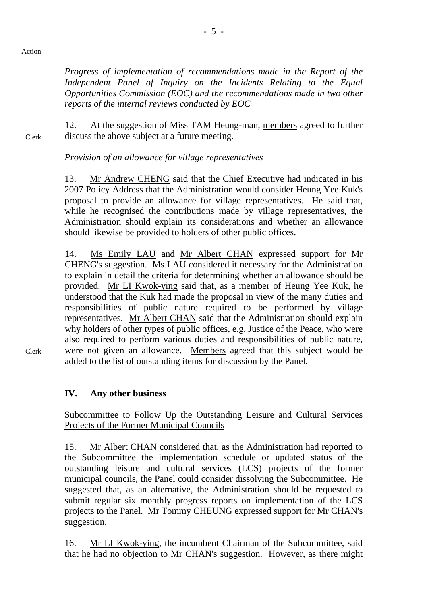#### Action

*Progress of implementation of recommendations made in the Report of the Independent Panel of Inquiry on the Incidents Relating to the Equal Opportunities Commission (EOC) and the recommendations made in two other reports of the internal reviews conducted by EOC* 

Clerk 12. At the suggestion of Miss TAM Heung-man, members agreed to further discuss the above subject at a future meeting.

## *Provision of an allowance for village representatives*

13. Mr Andrew CHENG said that the Chief Executive had indicated in his 2007 Policy Address that the Administration would consider Heung Yee Kuk's proposal to provide an allowance for village representatives. He said that, while he recognised the contributions made by village representatives, the Administration should explain its considerations and whether an allowance should likewise be provided to holders of other public offices.

14. Ms Emily LAU and Mr Albert CHAN expressed support for Mr CHENG's suggestion. Ms LAU considered it necessary for the Administration to explain in detail the criteria for determining whether an allowance should be provided. Mr LI Kwok-ying said that, as a member of Heung Yee Kuk, he understood that the Kuk had made the proposal in view of the many duties and responsibilities of public nature required to be performed by village representatives. Mr Albert CHAN said that the Administration should explain why holders of other types of public offices, e.g. Justice of the Peace, who were also required to perform various duties and responsibilities of public nature, were not given an allowance. Members agreed that this subject would be added to the list of outstanding items for discussion by the Panel.

Clerk

# **IV. Any other business**

Subcommittee to Follow Up the Outstanding Leisure and Cultural Services Projects of the Former Municipal Councils

15. Mr Albert CHAN considered that, as the Administration had reported to the Subcommittee the implementation schedule or updated status of the outstanding leisure and cultural services (LCS) projects of the former municipal councils, the Panel could consider dissolving the Subcommittee. He suggested that, as an alternative, the Administration should be requested to submit regular six monthly progress reports on implementation of the LCS projects to the Panel. Mr Tommy CHEUNG expressed support for Mr CHAN's suggestion.

16. Mr LI Kwok-ying, the incumbent Chairman of the Subcommittee, said that he had no objection to Mr CHAN's suggestion. However, as there might